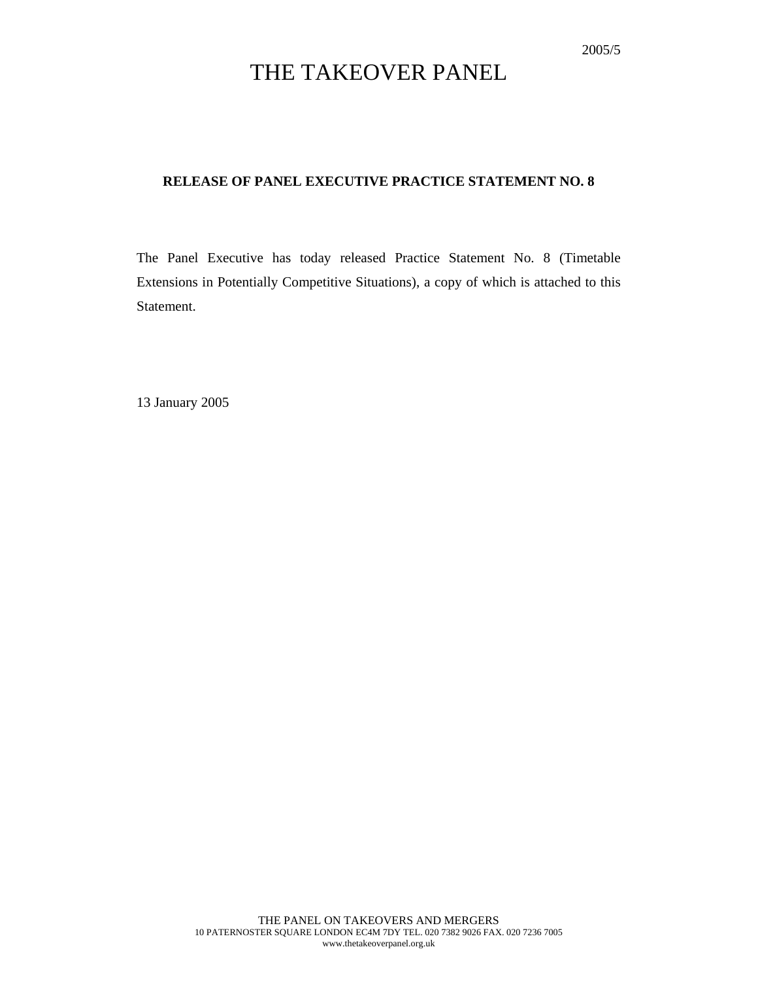# THE TAKEOVER PANEL

### **RELEASE OF PANEL EXECUTIVE PRACTICE STATEMENT NO. 8**

The Panel Executive has today released Practice Statement No. 8 (Timetable Extensions in Potentially Competitive Situations), a copy of which is attached to this Statement.

13 January 2005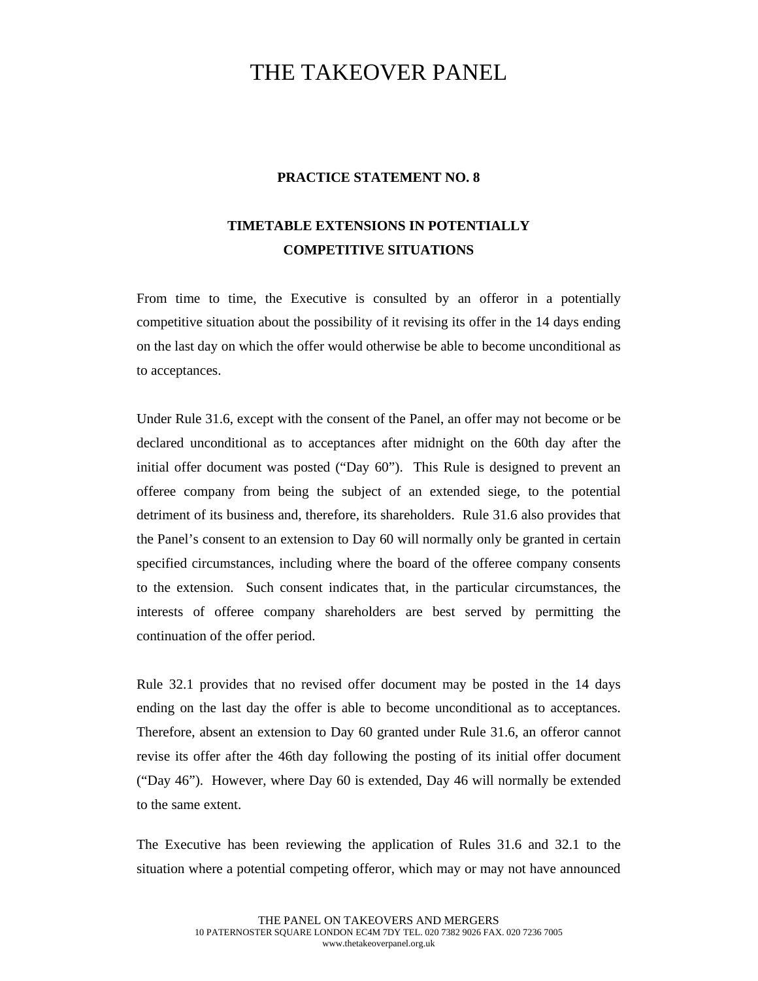## THE TAKEOVER PANEL

### **PRACTICE STATEMENT NO. 8**

### **TIMETABLE EXTENSIONS IN POTENTIALLY COMPETITIVE SITUATIONS**

From time to time, the Executive is consulted by an offeror in a potentially competitive situation about the possibility of it revising its offer in the 14 days ending on the last day on which the offer would otherwise be able to become unconditional as to acceptances.

Under Rule 31.6, except with the consent of the Panel, an offer may not become or be declared unconditional as to acceptances after midnight on the 60th day after the initial offer document was posted ("Day 60"). This Rule is designed to prevent an offeree company from being the subject of an extended siege, to the potential detriment of its business and, therefore, its shareholders. Rule 31.6 also provides that the Panel's consent to an extension to Day 60 will normally only be granted in certain specified circumstances, including where the board of the offeree company consents to the extension. Such consent indicates that, in the particular circumstances, the interests of offeree company shareholders are best served by permitting the continuation of the offer period.

Rule 32.1 provides that no revised offer document may be posted in the 14 days ending on the last day the offer is able to become unconditional as to acceptances. Therefore, absent an extension to Day 60 granted under Rule 31.6, an offeror cannot revise its offer after the 46th day following the posting of its initial offer document ("Day 46"). However, where Day 60 is extended, Day 46 will normally be extended to the same extent.

The Executive has been reviewing the application of Rules 31.6 and 32.1 to the situation where a potential competing offeror, which may or may not have announced